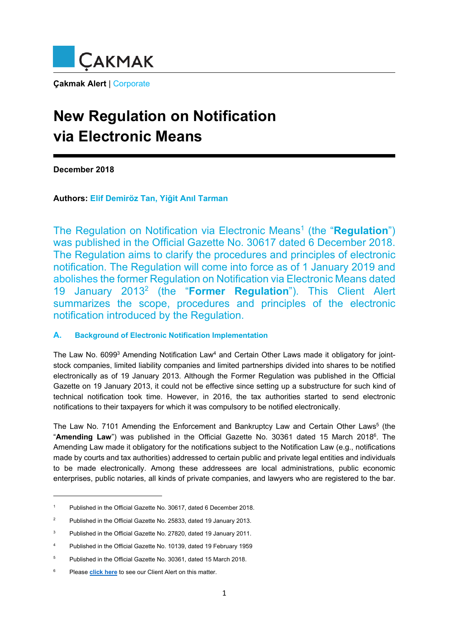

**Çakmak Alert** | Corporate

# **New Regulation on Notification via Electronic Means**

**December 2018** 

**Authors: Elif Demiröz Tan, Yiğit Anıl Tarman**

The Regulation on Notification via Electronic Means<sup>1</sup> (the "Regulation") was published in the Official Gazette No. 30617 dated 6 December 2018. The Regulation aims to clarify the procedures and principles of electronic notification. The Regulation will come into force as of 1 January 2019 and abolishes the former Regulation on Notification via Electronic Means dated 19 January 20132 (the "**Former Regulation**"). This Client Alert summarizes the scope, procedures and principles of the electronic notification introduced by the Regulation.

#### **A. Background of Electronic Notification Implementation**

The Law No. 6099<sup>3</sup> Amending Notification Law<sup>4</sup> and Certain Other Laws made it obligatory for jointstock companies, limited liability companies and limited partnerships divided into shares to be notified electronically as of 19 January 2013. Although the Former Regulation was published in the Official Gazette on 19 January 2013, it could not be effective since setting up a substructure for such kind of technical notification took time. However, in 2016, the tax authorities started to send electronic notifications to their taxpayers for which it was compulsory to be notified electronically.

The Law No. 7101 Amending the Enforcement and Bankruptcy Law and Certain Other Laws<sup>5</sup> (the "**Amending Law**") was published in the Official Gazette No. 30361 dated 15 March 2018<sup>6</sup>. The Amending Law made it obligatory for the notifications subject to the Notification Law (e.g., notifications made by courts and tax authorities) addressed to certain public and private legal entities and individuals to be made electronically. Among these addressees are local administrations, public economic enterprises, public notaries, all kinds of private companies, and lawyers who are registered to the bar.

<sup>1</sup> Published in the Official Gazette No. 30617, dated 6 December 2018.

 $\overline{2}$ Published in the Official Gazette No. 25833, dated 19 January 2013.

<sup>3</sup> Published in the Official Gazette No. 27820, dated 19 January 2011.

<sup>4</sup> Published in the Official Gazette No. 10139, dated 19 February 1959

<sup>5</sup> Published in the Official Gazette No. 30361, dated 15 March 2018.

<sup>6</sup> Please **[click here](http://cakmak.av.tr/articles/Dispute_Resolution/AmendmentsEnforcementBankruptcyLaw.pdf)** to see our Client Alert on this matter.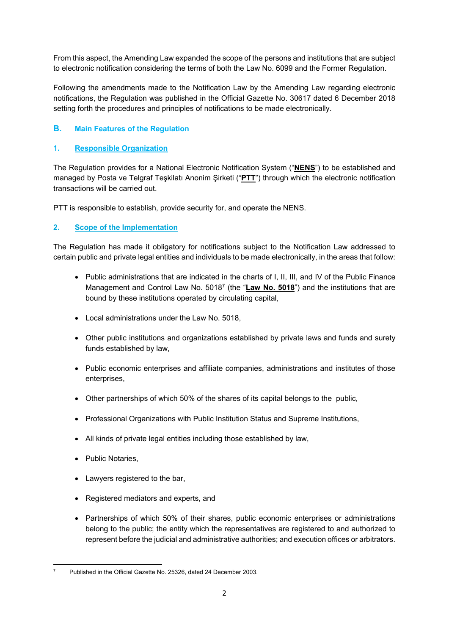From this aspect, the Amending Law expanded the scope of the persons and institutions that are subject to electronic notification considering the terms of both the Law No. 6099 and the Former Regulation.

Following the amendments made to the Notification Law by the Amending Law regarding electronic notifications, the Regulation was published in the Official Gazette No. 30617 dated 6 December 2018 setting forth the procedures and principles of notifications to be made electronically.

## **B. Main Features of the Regulation**

#### **1. Responsible Organization**

The Regulation provides for a National Electronic Notification System ("**NENS**") to be established and managed by Posta ve Telgraf Teşkilatı Anonim Şirketi ("**PTT**") through which the electronic notification transactions will be carried out.

PTT is responsible to establish, provide security for, and operate the NENS.

#### **2. Scope of the Implementation**

The Regulation has made it obligatory for notifications subject to the Notification Law addressed to certain public and private legal entities and individuals to be made electronically, in the areas that follow:

- Public administrations that are indicated in the charts of I, II, III, and IV of the Public Finance Management and Control Law No. 50187 (the "**Law No. 5018**") and the institutions that are bound by these institutions operated by circulating capital,
- Local administrations under the Law No. 5018,
- Other public institutions and organizations established by private laws and funds and surety funds established by law,
- Public economic enterprises and affiliate companies, administrations and institutes of those enterprises,
- Other partnerships of which 50% of the shares of its capital belongs to the public,
- Professional Organizations with Public Institution Status and Supreme Institutions,
- All kinds of private legal entities including those established by law,
- **Public Notaries,**
- Lawyers registered to the bar,
- Registered mediators and experts, and
- Partnerships of which 50% of their shares, public economic enterprises or administrations belong to the public; the entity which the representatives are registered to and authorized to represent before the judicial and administrative authorities; and execution offices or arbitrators.

 7 Published in the Official Gazette No. 25326, dated 24 December 2003.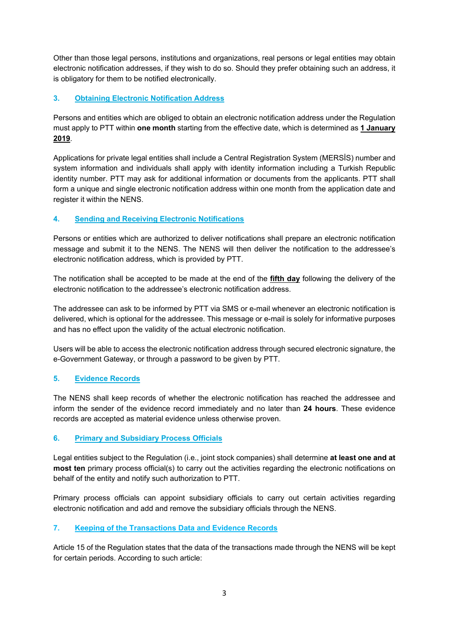Other than those legal persons, institutions and organizations, real persons or legal entities may obtain electronic notification addresses, if they wish to do so. Should they prefer obtaining such an address, it is obligatory for them to be notified electronically.

## **3. Obtaining Electronic Notification Address**

Persons and entities which are obliged to obtain an electronic notification address under the Regulation must apply to PTT within **one month** starting from the effective date, which is determined as **1 January 2019**.

Applications for private legal entities shall include a Central Registration System (MERSİS) number and system information and individuals shall apply with identity information including a Turkish Republic identity number. PTT may ask for additional information or documents from the applicants. PTT shall form a unique and single electronic notification address within one month from the application date and register it within the NENS.

## **4. Sending and Receiving Electronic Notifications**

Persons or entities which are authorized to deliver notifications shall prepare an electronic notification message and submit it to the NENS. The NENS will then deliver the notification to the addressee's electronic notification address, which is provided by PTT.

The notification shall be accepted to be made at the end of the **fifth day** following the delivery of the electronic notification to the addressee's electronic notification address.

The addressee can ask to be informed by PTT via SMS or e-mail whenever an electronic notification is delivered, which is optional for the addressee. This message or e-mail is solely for informative purposes and has no effect upon the validity of the actual electronic notification.

Users will be able to access the electronic notification address through secured electronic signature, the e-Government Gateway, or through a password to be given by PTT.

#### **5. Evidence Records**

The NENS shall keep records of whether the electronic notification has reached the addressee and inform the sender of the evidence record immediately and no later than **24 hours**. These evidence records are accepted as material evidence unless otherwise proven.

#### **6. Primary and Subsidiary Process Officials**

Legal entities subject to the Regulation (i.e., joint stock companies) shall determine **at least one and at most ten** primary process official(s) to carry out the activities regarding the electronic notifications on behalf of the entity and notify such authorization to PTT.

Primary process officials can appoint subsidiary officials to carry out certain activities regarding electronic notification and add and remove the subsidiary officials through the NENS.

#### **7. Keeping of the Transactions Data and Evidence Records**

Article 15 of the Regulation states that the data of the transactions made through the NENS will be kept for certain periods. According to such article: